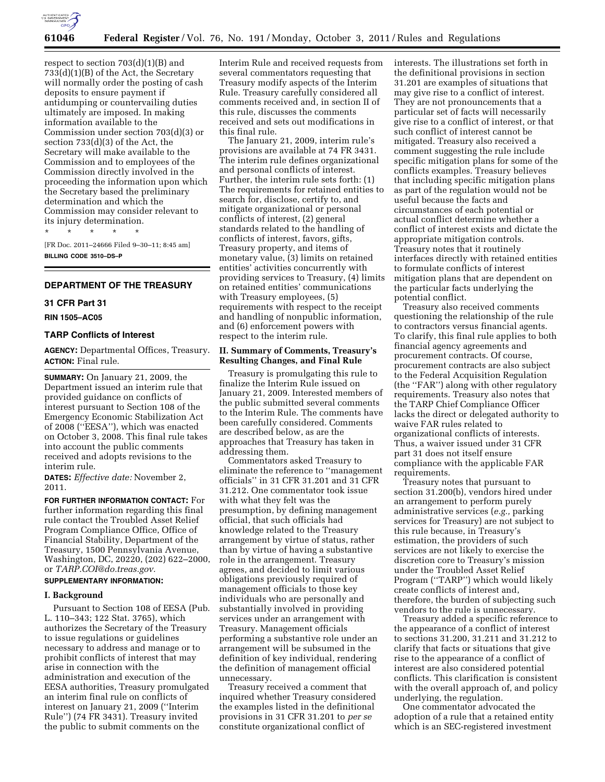

respect to section 703(d)(1)(B) and 733(d)(1)(B) of the Act, the Secretary will normally order the posting of cash deposits to ensure payment if antidumping or countervailing duties ultimately are imposed. In making information available to the Commission under section 703(d)(3) or section 733(d)(3) of the Act, the Secretary will make available to the Commission and to employees of the Commission directly involved in the proceeding the information upon which the Secretary based the preliminary determination and which the Commission may consider relevant to its injury determination.

[FR Doc. 2011–24666 Filed 9–30–11; 8:45 am] **BILLING CODE 3510–DS–P** 

## **DEPARTMENT OF THE TREASURY**

# **31 CFR Part 31**

**RIN 1505–AC05** 

## **TARP Conflicts of Interest**

\* \* \* \* \*

**AGENCY:** Departmental Offices, Treasury. **ACTION:** Final rule.

**SUMMARY:** On January 21, 2009, the Department issued an interim rule that provided guidance on conflicts of interest pursuant to Section 108 of the Emergency Economic Stabilization Act of 2008 (''EESA''), which was enacted on October 3, 2008. This final rule takes into account the public comments received and adopts revisions to the interim rule.

**DATES:** *Effective date:* November 2, 2011.

**FOR FURTHER INFORMATION CONTACT:** For further information regarding this final rule contact the Troubled Asset Relief Program Compliance Office, Office of Financial Stability, Department of the Treasury, 1500 Pennsylvania Avenue, Washington, DC, 20220, (202) 622–2000, or *[TARP.COI@do.treas.gov.](mailto:TARP.COI@do.treas.gov)* 

# **SUPPLEMENTARY INFORMATION:**

# **I. Background**

Pursuant to Section 108 of EESA (Pub. L. 110–343; 122 Stat. 3765), which authorizes the Secretary of the Treasury to issue regulations or guidelines necessary to address and manage or to prohibit conflicts of interest that may arise in connection with the administration and execution of the EESA authorities, Treasury promulgated an interim final rule on conflicts of interest on January 21, 2009 (''Interim Rule'') (74 FR 3431). Treasury invited the public to submit comments on the

Interim Rule and received requests from several commentators requesting that Treasury modify aspects of the Interim Rule. Treasury carefully considered all comments received and, in section II of this rule, discusses the comments received and sets out modifications in this final rule.

The January 21, 2009, interim rule's provisions are available at 74 FR 3431. The interim rule defines organizational and personal conflicts of interest. Further, the interim rule sets forth: (1) The requirements for retained entities to search for, disclose, certify to, and mitigate organizational or personal conflicts of interest, (2) general standards related to the handling of conflicts of interest, favors, gifts, Treasury property, and items of monetary value, (3) limits on retained entities' activities concurrently with providing services to Treasury, (4) limits on retained entities' communications with Treasury employees, (5) requirements with respect to the receipt and handling of nonpublic information, and (6) enforcement powers with respect to the interim rule.

# **II. Summary of Comments, Treasury's Resulting Changes, and Final Rule**

Treasury is promulgating this rule to finalize the Interim Rule issued on January 21, 2009. Interested members of the public submitted several comments to the Interim Rule. The comments have been carefully considered. Comments are described below, as are the approaches that Treasury has taken in addressing them.

Commentators asked Treasury to eliminate the reference to ''management officials'' in 31 CFR 31.201 and 31 CFR 31.212. One commentator took issue with what they felt was the presumption, by defining management official, that such officials had knowledge related to the Treasury arrangement by virtue of status, rather than by virtue of having a substantive role in the arrangement. Treasury agrees, and decided to limit various obligations previously required of management officials to those key individuals who are personally and substantially involved in providing services under an arrangement with Treasury. Management officials performing a substantive role under an arrangement will be subsumed in the definition of key individual, rendering the definition of management official unnecessary.

Treasury received a comment that inquired whether Treasury considered the examples listed in the definitional provisions in 31 CFR 31.201 to *per se*  constitute organizational conflict of

interests. The illustrations set forth in the definitional provisions in section 31.201 are examples of situations that may give rise to a conflict of interest. They are not pronouncements that a particular set of facts will necessarily give rise to a conflict of interest, or that such conflict of interest cannot be mitigated. Treasury also received a comment suggesting the rule include specific mitigation plans for some of the conflicts examples. Treasury believes that including specific mitigation plans as part of the regulation would not be useful because the facts and circumstances of each potential or actual conflict determine whether a conflict of interest exists and dictate the appropriate mitigation controls. Treasury notes that it routinely interfaces directly with retained entities to formulate conflicts of interest mitigation plans that are dependent on the particular facts underlying the potential conflict.

Treasury also received comments questioning the relationship of the rule to contractors versus financial agents. To clarify, this final rule applies to both financial agency agreements and procurement contracts. Of course, procurement contracts are also subject to the Federal Acquisition Regulation (the ''FAR'') along with other regulatory requirements. Treasury also notes that the TARP Chief Compliance Officer lacks the direct or delegated authority to waive FAR rules related to organizational conflicts of interests. Thus, a waiver issued under 31 CFR part 31 does not itself ensure compliance with the applicable FAR requirements.

Treasury notes that pursuant to section 31.200(b), vendors hired under an arrangement to perform purely administrative services (*e.g.,* parking services for Treasury) are not subject to this rule because, in Treasury's estimation, the providers of such services are not likely to exercise the discretion core to Treasury's mission under the Troubled Asset Relief Program (''TARP'') which would likely create conflicts of interest and, therefore, the burden of subjecting such vendors to the rule is unnecessary.

Treasury added a specific reference to the appearance of a conflict of interest to sections 31.200, 31.211 and 31.212 to clarify that facts or situations that give rise to the appearance of a conflict of interest are also considered potential conflicts. This clarification is consistent with the overall approach of, and policy underlying, the regulation.

One commentator advocated the adoption of a rule that a retained entity which is an SEC-registered investment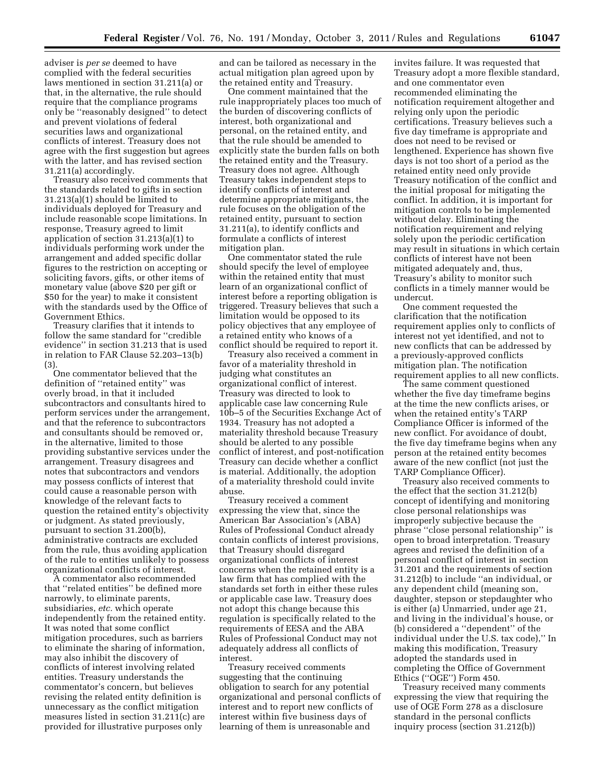adviser is *per se* deemed to have complied with the federal securities laws mentioned in section 31.211(a) or that, in the alternative, the rule should require that the compliance programs only be ''reasonably designed'' to detect and prevent violations of federal securities laws and organizational conflicts of interest. Treasury does not agree with the first suggestion but agrees with the latter, and has revised section 31.211(a) accordingly.

Treasury also received comments that the standards related to gifts in section 31.213(a)(1) should be limited to individuals deployed for Treasury and include reasonable scope limitations. In response, Treasury agreed to limit application of section 31.213(a)(1) to individuals performing work under the arrangement and added specific dollar figures to the restriction on accepting or soliciting favors, gifts, or other items of monetary value (above \$20 per gift or \$50 for the year) to make it consistent with the standards used by the Office of Government Ethics.

Treasury clarifies that it intends to follow the same standard for ''credible evidence'' in section 31.213 that is used in relation to FAR Clause 52.203–13(b) (3).

One commentator believed that the definition of ''retained entity'' was overly broad, in that it included subcontractors and consultants hired to perform services under the arrangement, and that the reference to subcontractors and consultants should be removed or, in the alternative, limited to those providing substantive services under the arrangement. Treasury disagrees and notes that subcontractors and vendors may possess conflicts of interest that could cause a reasonable person with knowledge of the relevant facts to question the retained entity's objectivity or judgment. As stated previously, pursuant to section 31.200(b), administrative contracts are excluded from the rule, thus avoiding application of the rule to entities unlikely to possess organizational conflicts of interest.

A commentator also recommended that ''related entities'' be defined more narrowly, to eliminate parents, subsidiaries, *etc.* which operate independently from the retained entity. It was noted that some conflict mitigation procedures, such as barriers to eliminate the sharing of information, may also inhibit the discovery of conflicts of interest involving related entities. Treasury understands the commentator's concern, but believes revising the related entity definition is unnecessary as the conflict mitigation measures listed in section 31.211(c) are provided for illustrative purposes only

and can be tailored as necessary in the actual mitigation plan agreed upon by the retained entity and Treasury.

One comment maintained that the rule inappropriately places too much of the burden of discovering conflicts of interest, both organizational and personal, on the retained entity, and that the rule should be amended to explicitly state the burden falls on both the retained entity and the Treasury. Treasury does not agree. Although Treasury takes independent steps to identify conflicts of interest and determine appropriate mitigants, the rule focuses on the obligation of the retained entity, pursuant to section 31.211(a), to identify conflicts and formulate a conflicts of interest mitigation plan.

One commentator stated the rule should specify the level of employee within the retained entity that must learn of an organizational conflict of interest before a reporting obligation is triggered. Treasury believes that such a limitation would be opposed to its policy objectives that any employee of a retained entity who knows of a conflict should be required to report it.

Treasury also received a comment in favor of a materiality threshold in judging what constitutes an organizational conflict of interest. Treasury was directed to look to applicable case law concerning Rule 10b–5 of the Securities Exchange Act of 1934. Treasury has not adopted a materiality threshold because Treasury should be alerted to any possible conflict of interest, and post-notification Treasury can decide whether a conflict is material. Additionally, the adoption of a materiality threshold could invite abuse.

Treasury received a comment expressing the view that, since the American Bar Association's (ABA) Rules of Professional Conduct already contain conflicts of interest provisions, that Treasury should disregard organizational conflicts of interest concerns when the retained entity is a law firm that has complied with the standards set forth in either these rules or applicable case law. Treasury does not adopt this change because this regulation is specifically related to the requirements of EESA and the ABA Rules of Professional Conduct may not adequately address all conflicts of interest.

Treasury received comments suggesting that the continuing obligation to search for any potential organizational and personal conflicts of interest and to report new conflicts of interest within five business days of learning of them is unreasonable and

invites failure. It was requested that Treasury adopt a more flexible standard, and one commentator even recommended eliminating the notification requirement altogether and relying only upon the periodic certifications. Treasury believes such a five day timeframe is appropriate and does not need to be revised or lengthened. Experience has shown five days is not too short of a period as the retained entity need only provide Treasury notification of the conflict and the initial proposal for mitigating the conflict. In addition, it is important for mitigation controls to be implemented without delay. Eliminating the notification requirement and relying solely upon the periodic certification may result in situations in which certain conflicts of interest have not been mitigated adequately and, thus, Treasury's ability to monitor such conflicts in a timely manner would be undercut.

One comment requested the clarification that the notification requirement applies only to conflicts of interest not yet identified, and not to new conflicts that can be addressed by a previously-approved conflicts mitigation plan. The notification requirement applies to all new conflicts.

The same comment questioned whether the five day timeframe begins at the time the new conflicts arises, or when the retained entity's TARP Compliance Officer is informed of the new conflict. For avoidance of doubt, the five day timeframe begins when any person at the retained entity becomes aware of the new conflict (not just the TARP Compliance Officer).

Treasury also received comments to the effect that the section 31.212(b) concept of identifying and monitoring close personal relationships was improperly subjective because the phrase ''close personal relationship'' is open to broad interpretation. Treasury agrees and revised the definition of a personal conflict of interest in section 31.201 and the requirements of section 31.212(b) to include ''an individual, or any dependent child (meaning son, daughter, stepson or stepdaughter who is either (a) Unmarried, under age 21, and living in the individual's house, or (b) considered a ''dependent'' of the individual under the U.S. tax code),'' In making this modification, Treasury adopted the standards used in completing the Office of Government Ethics (''OGE'') Form 450.

Treasury received many comments expressing the view that requiring the use of OGE Form 278 as a disclosure standard in the personal conflicts inquiry process (section 31.212(b))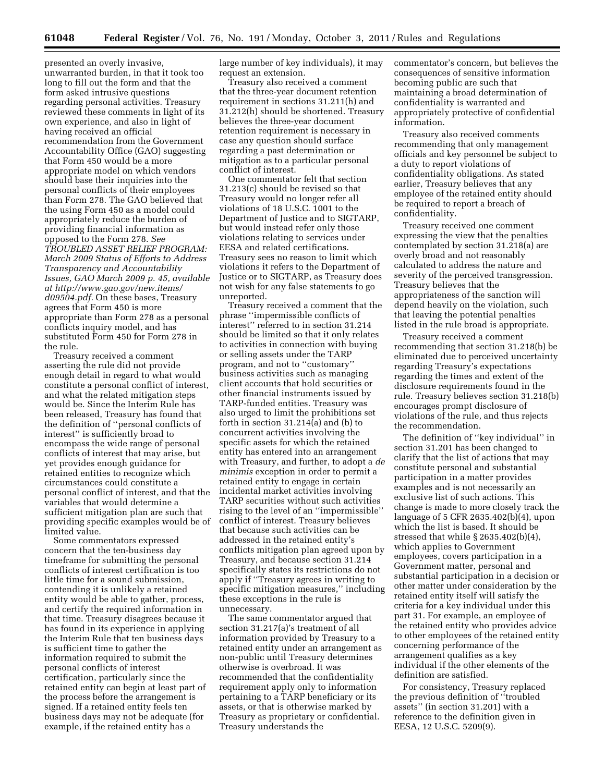presented an overly invasive, unwarranted burden, in that it took too long to fill out the form and that the form asked intrusive questions regarding personal activities. Treasury reviewed these comments in light of its own experience, and also in light of having received an official recommendation from the Government Accountability Office (GAO) suggesting that Form 450 would be a more appropriate model on which vendors should base their inquiries into the personal conflicts of their employees than Form 278. The GAO believed that the using Form 450 as a model could appropriately reduce the burden of providing financial information as opposed to the Form 278. *See TROUBLED ASSET RELIEF PROGRAM: March 2009 Status of Efforts to Address Transparency and Accountability Issues, GAO March 2009 p. 45, available at [http://www.gao.gov/new.items/](http://www.gao.gov/new.items/d09504.pdf)  [d09504.pdf.](http://www.gao.gov/new.items/d09504.pdf)* On these bases, Treasury agrees that Form 450 is more appropriate than Form 278 as a personal conflicts inquiry model, and has substituted Form 450 for Form 278 in the rule.

Treasury received a comment asserting the rule did not provide enough detail in regard to what would constitute a personal conflict of interest, and what the related mitigation steps would be. Since the Interim Rule has been released, Treasury has found that the definition of ''personal conflicts of interest'' is sufficiently broad to encompass the wide range of personal conflicts of interest that may arise, but yet provides enough guidance for retained entities to recognize which circumstances could constitute a personal conflict of interest, and that the variables that would determine a sufficient mitigation plan are such that providing specific examples would be of limited value.

Some commentators expressed concern that the ten-business day timeframe for submitting the personal conflicts of interest certification is too little time for a sound submission, contending it is unlikely a retained entity would be able to gather, process, and certify the required information in that time. Treasury disagrees because it has found in its experience in applying the Interim Rule that ten business days is sufficient time to gather the information required to submit the personal conflicts of interest certification, particularly since the retained entity can begin at least part of the process before the arrangement is signed. If a retained entity feels ten business days may not be adequate (for example, if the retained entity has a

large number of key individuals), it may request an extension.

Treasury also received a comment that the three-year document retention requirement in sections 31.211(h) and 31.212(h) should be shortened. Treasury believes the three-year document retention requirement is necessary in case any question should surface regarding a past determination or mitigation as to a particular personal conflict of interest.

One commentator felt that section 31.213(c) should be revised so that Treasury would no longer refer all violations of 18 U.S.C. 1001 to the Department of Justice and to SIGTARP, but would instead refer only those violations relating to services under EESA and related certifications. Treasury sees no reason to limit which violations it refers to the Department of Justice or to SIGTARP, as Treasury does not wish for any false statements to go unreported.

Treasury received a comment that the phrase ''impermissible conflicts of interest'' referred to in section 31.214 should be limited so that it only relates to activities in connection with buying or selling assets under the TARP program, and not to ''customary'' business activities such as managing client accounts that hold securities or other financial instruments issued by TARP-funded entities. Treasury was also urged to limit the prohibitions set forth in section 31.214(a) and (b) to concurrent activities involving the specific assets for which the retained entity has entered into an arrangement with Treasury, and further, to adopt a *de minimis* exception in order to permit a retained entity to engage in certain incidental market activities involving TARP securities without such activities rising to the level of an ''impermissible'' conflict of interest. Treasury believes that because such activities can be addressed in the retained entity's conflicts mitigation plan agreed upon by Treasury, and because section 31.214 specifically states its restrictions do not apply if ''Treasury agrees in writing to specific mitigation measures,'' including these exceptions in the rule is unnecessary.

The same commentator argued that section 31.217(a)'s treatment of all information provided by Treasury to a retained entity under an arrangement as non-public until Treasury determines otherwise is overbroad. It was recommended that the confidentiality requirement apply only to information pertaining to a TARP beneficiary or its assets, or that is otherwise marked by Treasury as proprietary or confidential. Treasury understands the

commentator's concern, but believes the consequences of sensitive information becoming public are such that maintaining a broad determination of confidentiality is warranted and appropriately protective of confidential information.

Treasury also received comments recommending that only management officials and key personnel be subject to a duty to report violations of confidentiality obligations. As stated earlier, Treasury believes that any employee of the retained entity should be required to report a breach of confidentiality.

Treasury received one comment expressing the view that the penalties contemplated by section 31.218(a) are overly broad and not reasonably calculated to address the nature and severity of the perceived transgression. Treasury believes that the appropriateness of the sanction will depend heavily on the violation, such that leaving the potential penalties listed in the rule broad is appropriate.

Treasury received a comment recommending that section 31.218(b) be eliminated due to perceived uncertainty regarding Treasury's expectations regarding the times and extent of the disclosure requirements found in the rule. Treasury believes section 31.218(b) encourages prompt disclosure of violations of the rule, and thus rejects the recommendation.

The definition of ''key individual'' in section 31.201 has been changed to clarify that the list of actions that may constitute personal and substantial participation in a matter provides examples and is not necessarily an exclusive list of such actions. This change is made to more closely track the language of 5 CFR 2635.402(b)(4), upon which the list is based. It should be stressed that while § 2635.402(b)(4), which applies to Government employees, covers participation in a Government matter, personal and substantial participation in a decision or other matter under consideration by the retained entity itself will satisfy the criteria for a key individual under this part 31. For example, an employee of the retained entity who provides advice to other employees of the retained entity concerning performance of the arrangement qualifies as a key individual if the other elements of the definition are satisfied.

For consistency, Treasury replaced the previous definition of ''troubled assets'' (in section 31.201) with a reference to the definition given in EESA, 12 U.S.C. 5209(9).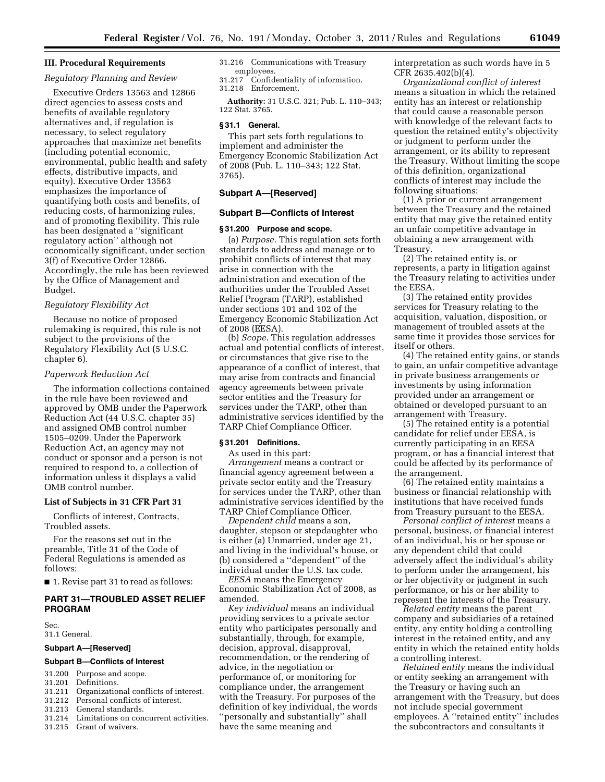## **III. Procedural Requirements**

# *Regulatory Planning and Review*

Executive Orders 13563 and 12866 direct agencies to assess costs and benefits of available regulatory alternatives and, if regulation is necessary, to select regulatory approaches that maximize net benefits (including potential economic, environmental, public health and safety effects, distributive impacts, and equity). Executive Order 13563 emphasizes the importance of quantifying both costs and benefits, of reducing costs, of harmonizing rules, and of promoting flexibility. This rule has been designated a ''significant regulatory action'' although not economically significant, under section 3(f) of Executive Order 12866. Accordingly, the rule has been reviewed by the Office of Management and Budget.

## *Regulatory Flexibility Act*

Because no notice of proposed rulemaking is required, this rule is not subject to the provisions of the Regulatory Flexibility Act (5 U.S.C. chapter 6).

#### *Paperwork Reduction Act*

The information collections contained in the rule have been reviewed and approved by OMB under the Paperwork Reduction Act (44 U.S.C. chapter 35) and assigned OMB control number 1505–0209. Under the Paperwork Reduction Act, an agency may not conduct or sponsor and a person is not required to respond to, a collection of information unless it displays a valid OMB control number.

#### **List of Subjects in 31 CFR Part 31**

Conflicts of interest, Contracts, Troubled assets.

For the reasons set out in the preamble, Title 31 of the Code of Federal Regulations is amended as follows:

■ 1. Revise part 31 to read as follows:

# **PART 31—TROUBLED ASSET RELIEF PROGRAM**

Sec. 31.1 General.

#### **Subpart A—[Reserved]**

## **Subpart B—Conflicts of Interest**

- 31.200 Purpose and scope.
- 31.201 Definitions.<br>31.211 Organizatio
- Organizational conflicts of interest.
- 31.212 Personal conflicts of interest.<br>31.213 General standards
- General standards.
- 31.214 Limitations on concurrent activities.
- 31.215 Grant of waivers.

31.216 Communications with Treasury employees.

31.217 Confidentiality of information. 31.218 Enforcement.

**Authority:** 31 U.S.C. 321; Pub. L. 110–343; 122 Stat. 3765.

#### **§ 31.1 General.**

This part sets forth regulations to implement and administer the Emergency Economic Stabilization Act of 2008 (Pub. L. 110–343; 122 Stat. 3765).

# **Subpart A—[Reserved]**

## **Subpart B—Conflicts of Interest**

## **§ 31.200 Purpose and scope.**

(a) *Purpose.* This regulation sets forth standards to address and manage or to prohibit conflicts of interest that may arise in connection with the administration and execution of the authorities under the Troubled Asset Relief Program (TARP), established under sections 101 and 102 of the Emergency Economic Stabilization Act of 2008 (EESA).

(b) *Scope.* This regulation addresses actual and potential conflicts of interest, or circumstances that give rise to the appearance of a conflict of interest, that may arise from contracts and financial agency agreements between private sector entities and the Treasury for services under the TARP, other than administrative services identified by the TARP Chief Compliance Officer.

## **§ 31.201 Definitions.**

As used in this part:

*Arrangement* means a contract or financial agency agreement between a private sector entity and the Treasury for services under the TARP, other than administrative services identified by the TARP Chief Compliance Officer.

*Dependent child* means a son, daughter, stepson or stepdaughter who is either (a) Unmarried, under age 21, and living in the individual's house, or (b) considered a ''dependent'' of the individual under the U.S. tax code.

*EESA* means the Emergency Economic Stabilization Act of 2008, as amended.

*Key individual* means an individual providing services to a private sector entity who participates personally and substantially, through, for example, decision, approval, disapproval, recommendation, or the rendering of advice, in the negotiation or performance of, or monitoring for compliance under, the arrangement with the Treasury. For purposes of the definition of key individual, the words ''personally and substantially'' shall have the same meaning and

interpretation as such words have in 5 CFR 2635.402(b)(4).

*Organizational conflict of interest*  means a situation in which the retained entity has an interest or relationship that could cause a reasonable person with knowledge of the relevant facts to question the retained entity's objectivity or judgment to perform under the arrangement, or its ability to represent the Treasury. Without limiting the scope of this definition, organizational conflicts of interest may include the following situations:

(1) A prior or current arrangement between the Treasury and the retained entity that may give the retained entity an unfair competitive advantage in obtaining a new arrangement with Treasury.

(2) The retained entity is, or represents, a party in litigation against the Treasury relating to activities under the EESA.

(3) The retained entity provides services for Treasury relating to the acquisition, valuation, disposition, or management of troubled assets at the same time it provides those services for itself or others.

(4) The retained entity gains, or stands to gain, an unfair competitive advantage in private business arrangements or investments by using information provided under an arrangement or obtained or developed pursuant to an arrangement with Treasury.

(5) The retained entity is a potential candidate for relief under EESA, is currently participating in an EESA program, or has a financial interest that could be affected by its performance of the arrangement.

(6) The retained entity maintains a business or financial relationship with institutions that have received funds from Treasury pursuant to the EESA.

*Personal conflict of interest* means a personal, business, or financial interest of an individual, his or her spouse or any dependent child that could adversely affect the individual's ability to perform under the arrangement, his or her objectivity or judgment in such performance, or his or her ability to represent the interests of the Treasury.

*Related entity* means the parent company and subsidiaries of a retained entity, any entity holding a controlling interest in the retained entity, and any entity in which the retained entity holds a controlling interest.

*Retained entity* means the individual or entity seeking an arrangement with the Treasury or having such an arrangement with the Treasury, but does not include special government employees. A ''retained entity'' includes the subcontractors and consultants it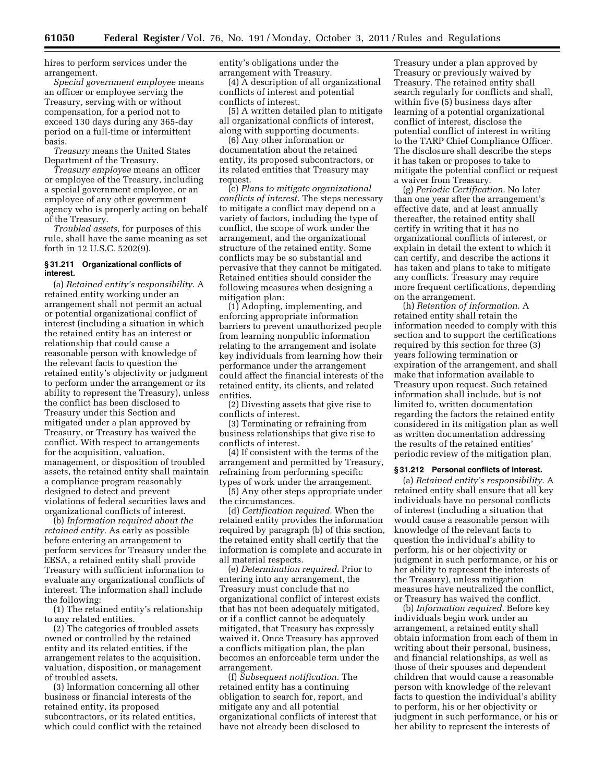hires to perform services under the arrangement.

*Special government employee* means an officer or employee serving the Treasury, serving with or without compensation, for a period not to exceed 130 days during any 365-day period on a full-time or intermittent basis.

*Treasury* means the United States Department of the Treasury.

*Treasury employee* means an officer or employee of the Treasury, including a special government employee, or an employee of any other government agency who is properly acting on behalf of the Treasury.

*Troubled assets,* for purposes of this rule, shall have the same meaning as set forth in 12 U.S.C. 5202(9).

## **§ 31.211 Organizational conflicts of interest.**

(a) *Retained entity's responsibility.* A retained entity working under an arrangement shall not permit an actual or potential organizational conflict of interest (including a situation in which the retained entity has an interest or relationship that could cause a reasonable person with knowledge of the relevant facts to question the retained entity's objectivity or judgment to perform under the arrangement or its ability to represent the Treasury), unless the conflict has been disclosed to Treasury under this Section and mitigated under a plan approved by Treasury, or Treasury has waived the conflict. With respect to arrangements for the acquisition, valuation, management, or disposition of troubled assets, the retained entity shall maintain a compliance program reasonably designed to detect and prevent violations of federal securities laws and organizational conflicts of interest.

(b) *Information required about the retained entity.* As early as possible before entering an arrangement to perform services for Treasury under the EESA, a retained entity shall provide Treasury with sufficient information to evaluate any organizational conflicts of interest. The information shall include the following:

(1) The retained entity's relationship to any related entities.

(2) The categories of troubled assets owned or controlled by the retained entity and its related entities, if the arrangement relates to the acquisition, valuation, disposition, or management of troubled assets.

(3) Information concerning all other business or financial interests of the retained entity, its proposed subcontractors, or its related entities, which could conflict with the retained entity's obligations under the arrangement with Treasury.

(4) A description of all organizational conflicts of interest and potential conflicts of interest.

(5) A written detailed plan to mitigate all organizational conflicts of interest, along with supporting documents.

(6) Any other information or documentation about the retained entity, its proposed subcontractors, or its related entities that Treasury may request.

(c) *Plans to mitigate organizational conflicts of interest.* The steps necessary to mitigate a conflict may depend on a variety of factors, including the type of conflict, the scope of work under the arrangement, and the organizational structure of the retained entity. Some conflicts may be so substantial and pervasive that they cannot be mitigated. Retained entities should consider the following measures when designing a mitigation plan:

(1) Adopting, implementing, and enforcing appropriate information barriers to prevent unauthorized people from learning nonpublic information relating to the arrangement and isolate key individuals from learning how their performance under the arrangement could affect the financial interests of the retained entity, its clients, and related entities.

(2) Divesting assets that give rise to conflicts of interest.

(3) Terminating or refraining from business relationships that give rise to conflicts of interest.

(4) If consistent with the terms of the arrangement and permitted by Treasury, refraining from performing specific types of work under the arrangement.

(5) Any other steps appropriate under the circumstances.

(d) *Certification required.* When the retained entity provides the information required by paragraph (b) of this section, the retained entity shall certify that the information is complete and accurate in all material respects.

(e) *Determination required.* Prior to entering into any arrangement, the Treasury must conclude that no organizational conflict of interest exists that has not been adequately mitigated, or if a conflict cannot be adequately mitigated, that Treasury has expressly waived it. Once Treasury has approved a conflicts mitigation plan, the plan becomes an enforceable term under the arrangement.

(f) *Subsequent notification.* The retained entity has a continuing obligation to search for, report, and mitigate any and all potential organizational conflicts of interest that have not already been disclosed to

Treasury under a plan approved by Treasury or previously waived by Treasury. The retained entity shall search regularly for conflicts and shall, within five (5) business days after learning of a potential organizational conflict of interest, disclose the potential conflict of interest in writing to the TARP Chief Compliance Officer. The disclosure shall describe the steps it has taken or proposes to take to mitigate the potential conflict or request a waiver from Treasury.

(g) *Periodic Certification.* No later than one year after the arrangement's effective date, and at least annually thereafter, the retained entity shall certify in writing that it has no organizational conflicts of interest, or explain in detail the extent to which it can certify, and describe the actions it has taken and plans to take to mitigate any conflicts. Treasury may require more frequent certifications, depending on the arrangement.

(h) *Retention of information.* A retained entity shall retain the information needed to comply with this section and to support the certifications required by this section for three (3) years following termination or expiration of the arrangement, and shall make that information available to Treasury upon request. Such retained information shall include, but is not limited to, written documentation regarding the factors the retained entity considered in its mitigation plan as well as written documentation addressing the results of the retained entities' periodic review of the mitigation plan.

#### **§ 31.212 Personal conflicts of interest.**

(a) *Retained entity's responsibility.* A retained entity shall ensure that all key individuals have no personal conflicts of interest (including a situation that would cause a reasonable person with knowledge of the relevant facts to question the individual's ability to perform, his or her objectivity or judgment in such performance, or his or her ability to represent the interests of the Treasury), unless mitigation measures have neutralized the conflict, or Treasury has waived the conflict.

(b) *Information required.* Before key individuals begin work under an arrangement, a retained entity shall obtain information from each of them in writing about their personal, business, and financial relationships, as well as those of their spouses and dependent children that would cause a reasonable person with knowledge of the relevant facts to question the individual's ability to perform, his or her objectivity or judgment in such performance, or his or her ability to represent the interests of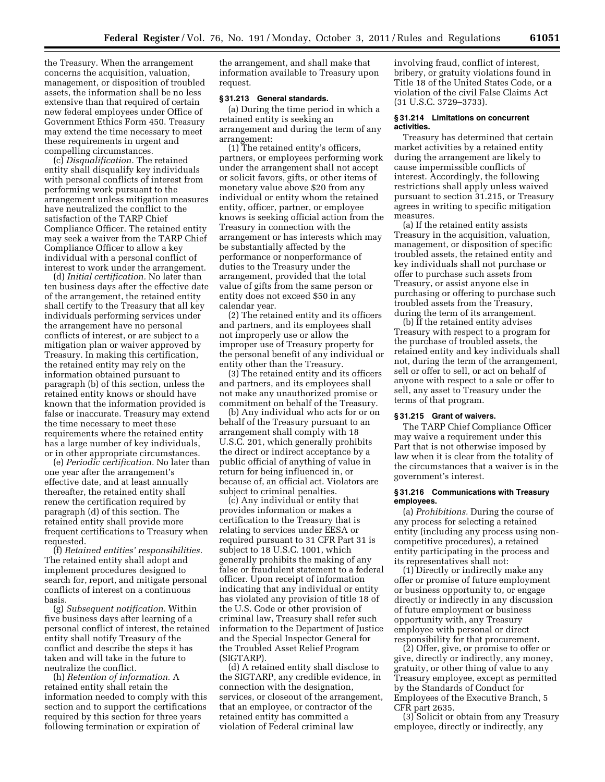the Treasury. When the arrangement concerns the acquisition, valuation, management, or disposition of troubled assets, the information shall be no less extensive than that required of certain new federal employees under Office of Government Ethics Form 450. Treasury may extend the time necessary to meet these requirements in urgent and compelling circumstances.

(c) *Disqualification.* The retained entity shall disqualify key individuals with personal conflicts of interest from performing work pursuant to the arrangement unless mitigation measures have neutralized the conflict to the satisfaction of the TARP Chief Compliance Officer. The retained entity may seek a waiver from the TARP Chief Compliance Officer to allow a key individual with a personal conflict of interest to work under the arrangement.

(d) *Initial certification.* No later than ten business days after the effective date of the arrangement, the retained entity shall certify to the Treasury that all key individuals performing services under the arrangement have no personal conflicts of interest, or are subject to a mitigation plan or waiver approved by Treasury. In making this certification, the retained entity may rely on the information obtained pursuant to paragraph (b) of this section, unless the retained entity knows or should have known that the information provided is false or inaccurate. Treasury may extend the time necessary to meet these requirements where the retained entity has a large number of key individuals, or in other appropriate circumstances.

(e) *Periodic certification.* No later than one year after the arrangement's effective date, and at least annually thereafter, the retained entity shall renew the certification required by paragraph (d) of this section. The retained entity shall provide more frequent certifications to Treasury when requested.

(f) *Retained entities' responsibilities.*  The retained entity shall adopt and implement procedures designed to search for, report, and mitigate personal conflicts of interest on a continuous basis.

(g) *Subsequent notification.* Within five business days after learning of a personal conflict of interest, the retained entity shall notify Treasury of the conflict and describe the steps it has taken and will take in the future to neutralize the conflict.

(h) *Retention of information.* A retained entity shall retain the information needed to comply with this section and to support the certifications required by this section for three years following termination or expiration of

the arrangement, and shall make that information available to Treasury upon request.

## **§ 31.213 General standards.**

(a) During the time period in which a retained entity is seeking an arrangement and during the term of any arrangement:

(1) The retained entity's officers, partners, or employees performing work under the arrangement shall not accept or solicit favors, gifts, or other items of monetary value above \$20 from any individual or entity whom the retained entity, officer, partner, or employee knows is seeking official action from the Treasury in connection with the arrangement or has interests which may be substantially affected by the performance or nonperformance of duties to the Treasury under the arrangement, provided that the total value of gifts from the same person or entity does not exceed \$50 in any calendar year.

(2) The retained entity and its officers and partners, and its employees shall not improperly use or allow the improper use of Treasury property for the personal benefit of any individual or entity other than the Treasury.

(3) The retained entity and its officers and partners, and its employees shall not make any unauthorized promise or commitment on behalf of the Treasury.

(b) Any individual who acts for or on behalf of the Treasury pursuant to an arrangement shall comply with 18 U.S.C. 201, which generally prohibits the direct or indirect acceptance by a public official of anything of value in return for being influenced in, or because of, an official act. Violators are subject to criminal penalties.

(c) Any individual or entity that provides information or makes a certification to the Treasury that is relating to services under EESA or required pursuant to 31 CFR Part 31 is subject to 18 U.S.C. 1001, which generally prohibits the making of any false or fraudulent statement to a federal officer. Upon receipt of information indicating that any individual or entity has violated any provision of title 18 of the U.S. Code or other provision of criminal law, Treasury shall refer such information to the Department of Justice and the Special Inspector General for the Troubled Asset Relief Program (SIGTARP).

(d) A retained entity shall disclose to the SIGTARP, any credible evidence, in connection with the designation, services, or closeout of the arrangement, that an employee, or contractor of the retained entity has committed a violation of Federal criminal law

involving fraud, conflict of interest, bribery, or gratuity violations found in Title 18 of the United States Code, or a violation of the civil False Claims Act (31 U.S.C. 3729–3733).

## **§ 31.214 Limitations on concurrent activities.**

Treasury has determined that certain market activities by a retained entity during the arrangement are likely to cause impermissible conflicts of interest. Accordingly, the following restrictions shall apply unless waived pursuant to section 31.215, or Treasury agrees in writing to specific mitigation measures.

(a) If the retained entity assists Treasury in the acquisition, valuation, management, or disposition of specific troubled assets, the retained entity and key individuals shall not purchase or offer to purchase such assets from Treasury, or assist anyone else in purchasing or offering to purchase such troubled assets from the Treasury, during the term of its arrangement.

(b) If the retained entity advises Treasury with respect to a program for the purchase of troubled assets, the retained entity and key individuals shall not, during the term of the arrangement, sell or offer to sell, or act on behalf of anyone with respect to a sale or offer to sell, any asset to Treasury under the terms of that program.

# **§ 31.215 Grant of waivers.**

The TARP Chief Compliance Officer may waive a requirement under this Part that is not otherwise imposed by law when it is clear from the totality of the circumstances that a waiver is in the government's interest.

#### **§ 31.216 Communications with Treasury employees.**

(a) *Prohibitions.* During the course of any process for selecting a retained entity (including any process using noncompetitive procedures), a retained entity participating in the process and its representatives shall not:

(1) Directly or indirectly make any offer or promise of future employment or business opportunity to, or engage directly or indirectly in any discussion of future employment or business opportunity with, any Treasury employee with personal or direct responsibility for that procurement.

(2) Offer, give, or promise to offer or give, directly or indirectly, any money, gratuity, or other thing of value to any Treasury employee, except as permitted by the Standards of Conduct for Employees of the Executive Branch, 5 CFR part 2635.

(3) Solicit or obtain from any Treasury employee, directly or indirectly, any